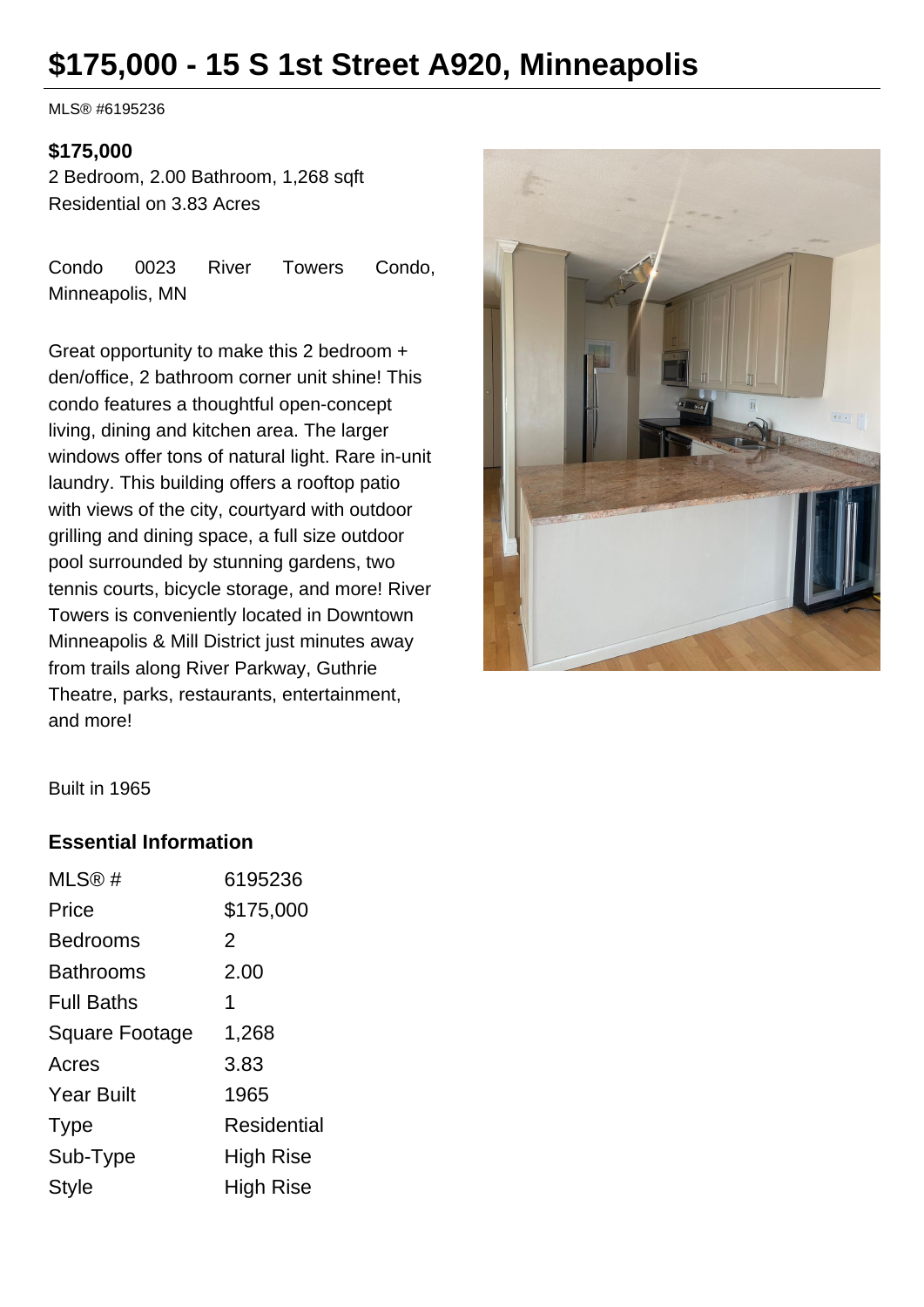# **\$175,000 - 15 S 1st Street A920, Minneapolis**

MLS® #6195236

#### **\$175,000**

2 Bedroom, 2.00 Bathroom, 1,268 sqft Residential on 3.83 Acres

Condo 0023 River Towers Condo, Minneapolis, MN

Great opportunity to make this 2 bedroom + den/office, 2 bathroom corner unit shine! This condo features a thoughtful open-concept living, dining and kitchen area. The larger windows offer tons of natural light. Rare in-unit laundry. This building offers a rooftop patio with views of the city, courtyard with outdoor grilling and dining space, a full size outdoor pool surrounded by stunning gardens, two tennis courts, bicycle storage, and more! River Towers is conveniently located in Downtown Minneapolis & Mill District just minutes away from trails along River Parkway, Guthrie Theatre, parks, restaurants, entertainment, and more!



Built in 1965

### **Essential Information**

| MLS@#             | 6195236     |
|-------------------|-------------|
| Price             | \$175,000   |
| Bedrooms          | 2           |
| Bathrooms         | 2.00        |
| <b>Full Baths</b> | 1           |
| Square Footage    | 1,268       |
| Acres             | 3.83        |
| <b>Year Built</b> | 1965        |
| <b>Type</b>       | Residential |
| Sub-Type          | High Rise   |
| Style             | High Rise   |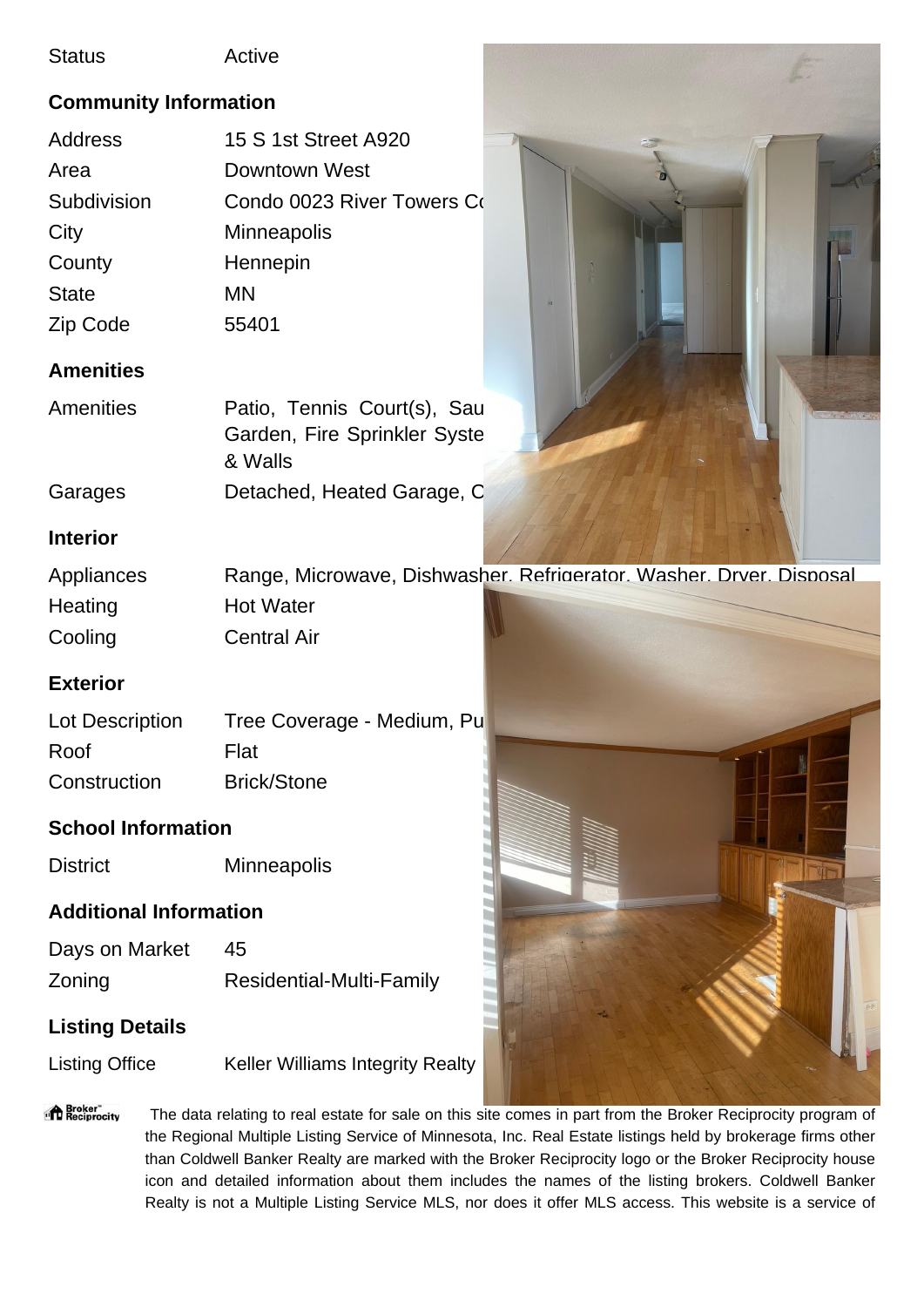#### Status Active

# **Community Information**

| 15 S 1st Street A920       |  |
|----------------------------|--|
| Downtown West              |  |
| Condo 0023 River Towers Co |  |
| <b>Minneapolis</b>         |  |
| Hennepin                   |  |
| MN                         |  |
| 55401                      |  |
|                            |  |

# **Amenities**

| Amenities | Patio, Tennis Court(s), Sau  |  |  |
|-----------|------------------------------|--|--|
|           | Garden, Fire Sprinkler Syste |  |  |
|           | & Walls                      |  |  |
| Garages   | Detached, Heated Garage, C   |  |  |

# **Interior**

| Appliances |                    | Range, Microwave, Dishwasher. Refrigerator. Washer. Drver. Disposal |
|------------|--------------------|---------------------------------------------------------------------|
| Heating    | <b>Hot Water</b>   |                                                                     |
| Cooling    | <b>Central Air</b> |                                                                     |

# **Exterior**

| Lot Description | Tree Coverage - Medium, Pu |  |
|-----------------|----------------------------|--|
| Roof            | Flat                       |  |
| Construction    | <b>Brick/Stone</b>         |  |

# **School Information**

District Minneapolis

# **Additional Information**

| Days on Market | 45                       |
|----------------|--------------------------|
| Zoning         | Residential-Multi-Family |

# **Listing Details**

Listing Office Keller Williams Integrity Realty



"<sup>A</sup> Broker"<br>"I Reciprocity The data relating to real estate for sale on this site comes in part from the Broker Reciprocity program of the Regional Multiple Listing Service of Minnesota, Inc. Real Estate listings held by brokerage firms other than Coldwell Banker Realty are marked with the Broker Reciprocity logo or the Broker Reciprocity house icon and detailed information about them includes the names of the listing brokers. Coldwell Banker Realty is not a Multiple Listing Service MLS, nor does it offer MLS access. This website is a service of